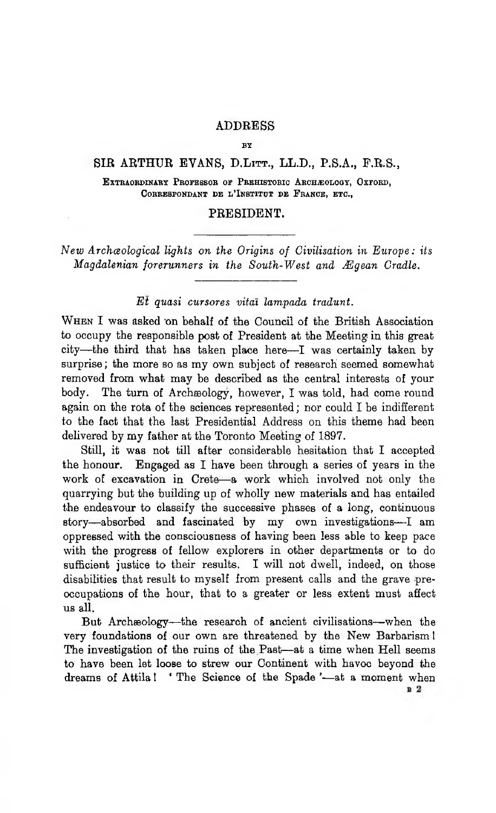## ADDRESS

#### **BY**

### SIR ARTHUR EVANS, D.LITT., LL.D., P.S.A., F.R.S.,

EXTRAORDINARY PROFESSOR OF PREHISTORIC ARCHÆOLOGY, OXFORD, CORRESPONDANT DE L'INSTITUT DE FRANCE, ETC.,

### PRESIDENT.

*New Archæological lights on the Origins of Civilisation in Europe: its Magdalenian forerunners in the South-West and Ægean Cradle.*

# *Et quasi cursores vital lampada tradunt.*

WHEN I was asked on behalf of the Council of the British Association to occupy the responsible post of President at the Meeting in this great city— the third that has taken place here— I was certainly taken by surprise; the more so as my own subject of research seemed somewhat removed from what may be described as the central interests of your body. The turn of Archaeology, however, I was told, had come round again on the rota of the sciences represented ; nor could I be indifferent to the fact that the last Presidential Address on this theme had been delivered by my father at the Toronto Meeting of 1897.

Still, it was not till after considerable hesitation that I accepted the honour. Engaged as I have been through a series of years in the work of excavation in Crete—a work which involved not only the quarrying but the building up of wholly new materials and has entailed the endeavour to classify the successive phases of a long, continuous story— absorbed and fascinated by my own investigations— I am oppressed with the consciousness of having been less able to keep pace with the progress of fellow explorers in other departments or to do sufficient justice to their results. I will not dwell, indeed, on those disabilities that result to myself from present calls and the grave preoccupations of the hour, that to a greater or less extent must affect us all.

But Archaeology— the research of ancient civilisations— when the very foundations of our own are threatened by the New Barbarism ! The investigation of the ruins of the Past—at a time when Hell seems to have been let loose to strew our Continent with havoc beyond the dreams of Attila ! ' The Science of the Spade '— at a moment when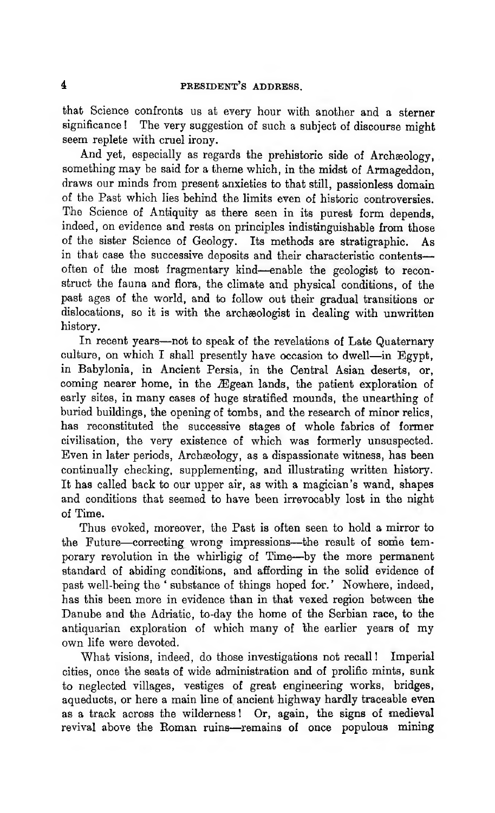that Science confronts us at every hour with another and a sterner significance ! The very suggestion of such a subject of discourse might seem replete with cruel irony.

And yet, especially as regards the prehistoric side of Archaeology, something may be said for a theme which, in the midst of Armageddon, draws our minds from present anxieties to that still, passionless domain of the Past which lies behind the limits even of historic controversies. The Science of Antiquity as there seen in its purest form depends, indeed, on evidence and rests on principles indistinguishable from those of the sister Science of Geology. Its methods are stratigraphic. As in that case the successive deposits and their characteristic contents often of the most fragmentary kind— enable the geologist to reconstruct the fauna and flora, the climate and physical conditions, of the past ages of the world, and to follow out their gradual transitions or dislocations, so it is with the archaeologist in dealing with unwritten history.

In recent years— not to speak of the revelations of Late Quaternary culture, on which I shall presently have occasion to dwell—in Egypt, in Babylonia, in Ancient Persia, in the Central Asian deserts, or, coming nearer home, in the Ægean lands, the patient exploration of early sites, in many cases of huge stratified mounds, the unearthing of buried buildings, the opening of tombs, and the research of minor relics, has reconstituted the successive stages of whole fabrics of former civilisation, the very existence of which was formerly unsuspected. Even in later periods, Archaeology, as a dispassionate witness, has been continually checking, supplementing, and illustrating written history. It has called back to our upper air, as with a magician's wand, shapes and conditions that seemed to have been irrevocably lost in the night of Time.

Thus evoked, moreover, the Past is often seen to hold a mirror to the Future— correcting wrong impressions— the result of some temporary revolution in the whirligig of Time— by the more permanent standard of abiding conditions, and affording in the solid evidence of past well-being the ' substance of things hoped for.' Nowhere, indeed, has this been more in evidence than in that vexed region between the Danube and the Adriatic, to-day the home of the Serbian race, to the antiquarian exploration of which many of the earlier years of my own life were devoted.

What visions, indeed, do those investigations not recall ! Imperial cities, once the seats of wide administration and of prolific mints, sunk to neglected villages, vestiges of great engineering works, bridges, aqueducts, or here a main line of ancient highway hardly traceable even as a track across the wilderness ! Or, again, the signs of medieval revival above the Boman ruins—remains of once populous mining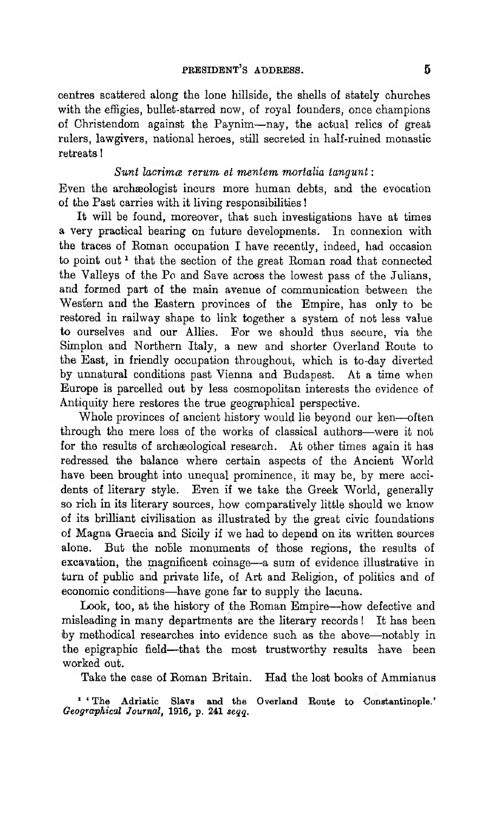centres scattered along the lone hillside, the shells of stately churches with the effigies, bullet-starred now, of royal founders, once champions of Christendom against the Paynim— nay, the actual relics of great rulers, lawgivers, national heroes, still secreted in half-ruined monastic retreats !

# *Sunt lacrimœ rerum et mentem mortalia tangunt :*

Even the archaeologist incurs more human debts, and the evocation of the Past carries with it living responsibilities !

It will be found, moreover, that such investigations have at times a very practical bearing on future developments. In connexion with the traces of Roman occupation I have recently, indeed, had occasion to point out<sup>1</sup> that the section of the great Roman road that connected the Valleys of the Po and Save across the lowest pass of the Julians, and formed part of the main avenue of communication between the Western and the Eastern provinces of the Empire, has only to be restored in railway shape to link together a system of not less value to ourselves and our Allies. For we should thus secure, via the Simplon and Northern Italy, a new and shorter Overland Route to the East, in friendly occupation throughout, which is to-day diverted by unnatural conditions past Vienna and Budapest. At a time when Europe is parcelled out by less cosmopolitan interests the evidence of Antiquity here restores the true geographical perspective.

Whole provinces of ancient history would lie beyond our ken— often through the mere loss of the works of classical authors— were it not for the results of archaeological research. At other times again it has redressed the balance where certain aspects of the Ancient World have been brought into unequal prominence, it may be, by mere accidents of literary style. Even if we take the Greek World, generally so rich in its literary sources, how comparatively little should we know of its brilliant civilisation as illustrated by the great civic foundations of Magna Graecia and Sicily if we had to depend on its written sources alone. But the noble monuments of those regions, the results of excavation, the magnificent coinage— a sum of evidence illustrative in turn of public and private life, of Art and Religion, of politics and of economic conditions— have gone far to supply the lacuna.

Look, too, at the history of the Roman Empire— how defective and misleading in many departments are the literary records ! It has been by methodical researches into evidence such as the above— notably in the epigraphic field— that the most trustworthy results have been worked out.

Take the case of Roman Britain. Had the lost books of Ammianus

**1 ' The Adriatic Slavs and the Overland Route to Constantinople.'** *Geographical Journal***, 1916, p. 241** *seqq.*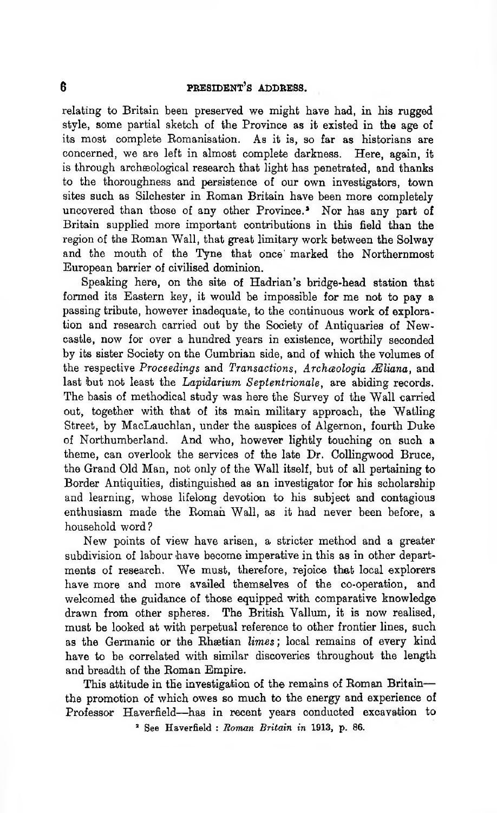relating to Britain been preserved we might have had, in his rugged style, some partial sketch of the Province as it existed in the age of its most complete Romanisation. As it is, so far as historians are concerned, we are left in almost complete darkness. Here, again, it is through archæological research that light has penetrated, and thanks to the thoroughness and persistence of our own investigators, town sites such as Silchester in Roman Britain have been more completely uncovered than those of any other Province.<sup>3</sup> Nor has any part of Britain supplied more important contributions in this field than the region of the Roman Wall, that great limitary work between the Solway and the mouth of the Tyne that once' marked the Northernmost European barrier of civilised dominion.

Speaking here, on the site of Hadrian's bridge-head station that formed its Eastern key, it would be impossible for me not to pay a passing tribute, however inadequate, to the continuous work of exploration and research carried out by the Society of Antiquaries of Newcastle, now for over a hundred years in existence, worthily seconded by its sister Society on the Cumbrian side, and of which the volumes of the respective *Proceedings* and *Transactions, Archceologia Æliana,* and last but not least the *Lapidarium Septentrionale,* are abiding records. The basis of methodical study was here the Survey of the Wall carried out, together with that of its main military approach, the Watling Street, by MacLauchlan, under the auspices of Algernon, fourth Duke of Northumberland. And who, however lightly touching on such a theme, can overlook the services of the late Dr. Collingwood Bruce, the Grand Old Man, not only of the Wall itself, but of all pertaining to Border Antiquities, distinguished as an investigator for his scholarship and learning, whose lifelong devotion to his subject and contagious enthusiasm made the Roman Wall, as it had never been before, a household word?

New points of view have arisen, a stricter method and a greater subdivision of labour have become imperative in this as in other departments of research. We must, therefore, rejoice that local explorers have more and more availed themselves of the co-operation, and welcomed the guidance of those equipped with comparative knowledge drawn from other spheres. The British Vallum, it is now realised, must be looked at with perpetual reference to other frontier lines, such as the Germanic or the Rhætian *limes* ; local remains of every kind have to be correlated with similar discoveries throughout the length and breadth of the Roman Empire.

This attitude in the investigation of the remains of Roman Britain the promotion of which owes so much to the energy and experience of Professor Haverfield—has in recent years conducted excavation to

**3 See Haverfield :** *Roman Britain in* **1913, p. 86.**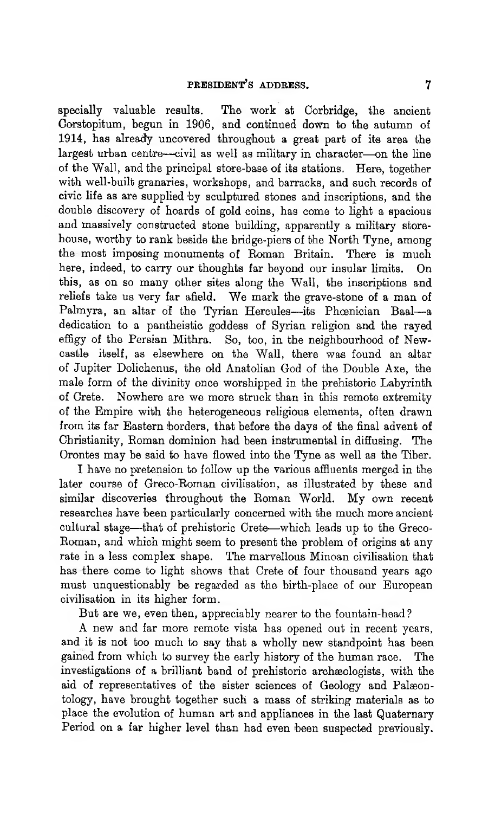specially valuable results. The work at Corbridge, the ancient Corstopitum, begun in 1906, and continued down to the autumn of 1914, has already uncovered throughout a great part of its area the largest urban centre—civil as well as military in character—on the line of the Wall, and the principal store-base of its stations. Here, together with well-built granaries, workshops, and barracks, and such records of civic life as are supplied by sculptured stones and inscriptions, and the double discovery of hoards of gold coins, has come to light a spacious and massively constructed stone building, apparently a military storehouse, worthy to rank beside the bridge-piers of the North Tyne, among the most imposing monuments of Roman Britain. There is much here, indeed, to carry our thoughts far beyond our insular limits. On this, as on so many other sites along the Wall, the inscriptions and reliefs take us very far afield. We mark the grave-stone of a man of Palmyra, an altar of the Tyrian Hercules—its Phoenician Baal—a dedication to a pantheistic goddess of Syrian religion and the rayed effigy of the Persian Mithra. So, too, in the neighbourhood of Newcastle itself, as elsewhere on the Wall, there was found an altar of Jupiter Dolichenus, the old Anatolian God of the Double Axe, the male form of the divinity once worshipped in the prehistoric Labyrinth of Grete. Nowhere are we more struck than in this remote extremity of the Empire with the heterogeneous religious elements, often drawn from its far Eastern borders, that before the days of the final advent of Christianity, Roman dominion had been instrumental in diffusing. The Orontes may be said to have flowed into the Tyne as well as the Tiber.

I have no pretension to follow up the various affluents merged in the later course of Greco-Roman civilisation, as illustrated by these and similar discoveries throughout the Roman World. My own recent researches have been particularly concerned with the much more ancient cultural stage— that of prehistoric Crete— which leads up to the Greco-Roman, and which might seem to present the problem of origins at any rate in a less complex shape. The marvellous Minoan civilisation that has there come to light shows that Grete of four thousand years ago must unquestionably be regarded as the birth-place of our European civilisation in its higher form.

But are we, even then, appreciably nearer to the fountain-head?

A new and far more remote vista has opened out in recent years, and it is not too much to say that a wholly new standpoint has been gained from which to survey the early history of the human race. The investigations of a brilliant band of prehistoric archaeologists, with the aid of representatives of the sister sciences of Geology and Palaeontology, have brought together such a mass of striking materials as to place the evolution of human art and appliances in the last Quaternary Period on a far higher level than had even been suspected previously.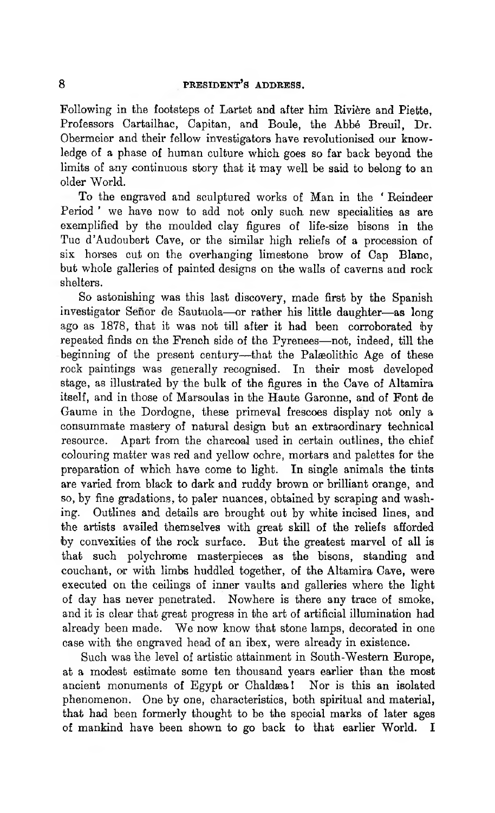Following in the footsteps of Lartet and after him Rivière and Piette, Professors Cartailhac, Capitan, and Boule, the Abbé Breuil, Dr. Obermeier and their fellow investigators have revolutionised our knowledge of a phase of human culture which goes so far back beyond the limits of any continuous story that it may well be said to belong to an older World.

To the engraved and sculptured works of Man in the ' Reindeer Period ' we have now to add not only such new specialities as are exemplified by the moulded clay figures of life-size bisons in the Tue d 'Audoubert Cave, or the similar high reliefs of a procession of six horses cut on the overhanging limestone brow of Cap Blanc, but whole galleries of painted designs on the walls of caverns and rock shelters.

So astonishing was this last discovery, made first by the Spanish investigator Señor de Sautuola—or rather his little daughter—as long ago as 1878, that it was not till after it had been corroborated by repeated finds on the French side of the Pyrenees— not, indeed, till the beginning of the present century— that the Palaeolithic Age of these rock paintings was generally recognised. In their most developed stage, as illustrated by the bulk of the figures in the Cave of Altamira itself, and in those of Marsoulas in the Haute Garonne, and of Font de Gaume in the Dordogne, these primeval frescoes display not only a consummate mastery of natural design but an extraordinary technical resource. Apart from the charcoal used in certain outlines, the chief colouring matter was red and yellow ochre, mortars and palettes for the preparation of which have come to light. In single animals the tints are varied from black to dark and ruddy brown or brilliant orange, and so, by fine gradations, to paler nuances, obtained by scraping and washing. Outlines and details are brought out by white incised lines, and the artists availed themselves with great skill of the reliefs afforded by convexities of the rock surface. But the greatest marvel of all is that such polychrome masterpieces as the bisons, standing and couchant, or with limbs huddled together, of the Altamira Cave, were executed on the ceilings of inner vaults and galleries where the light of day has never penetrated. Nowhere is there any trace of smoke, and it is clear that great progress in the art of artificial illumination had already been made. We now know that stone lamps, decorated in one case with the engraved head of an ibex, were already in existence.

Such was the level of artistic attainment in South-Western Europe, at a modest estimate some ten thousand years earlier than the most ancient monuments of Egypt or Chaldæa! Nor is this an isolated phenomenon. One by one, characteristics, both spiritual and material, that had been formerly thought to be the special marks of later ages of mankind have been shown to go back to that earlier World. I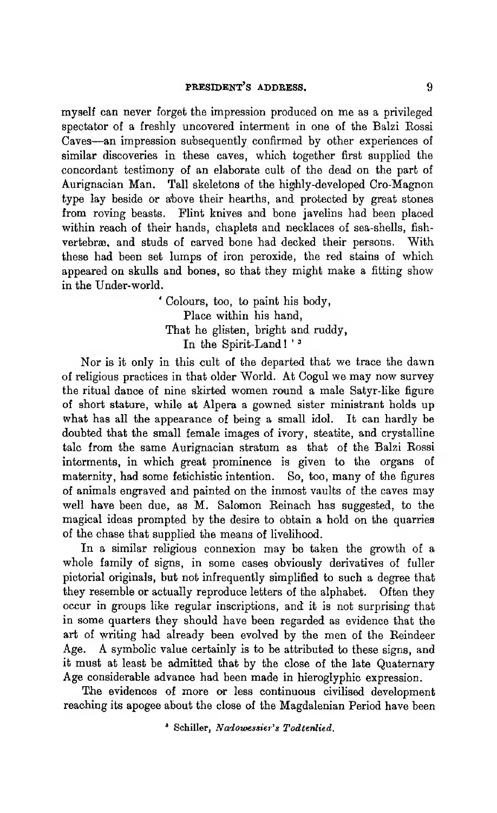myself can never forget the impression produced on me as a privileged spectator of a freshly uncovered interment in one of the Balzi Rossi Caves— an impression subsequently confirmed by other experiences of similar discoveries in these caves, which together first supplied the concordant testimony of an elaborate cult of the dead on the part of Aurignacian Man. Tall skeletons of the highly-developed Cro-Magnon type lay beside or above their hearths, and protected by great stones from roving beasts. Flint knives and bone javelins had been placed within reach of their hands, chaplets and necklaces of sea-shells, fishvertebræ, and studs of carved bone had decked their persons. With these had been set lumps of iron peroxide, the red stains of which appeared on skulls and bones, so that they might make a fitting show in the Under-world.

> ' Colours, too, to paint his body, Place within his hand, That he glisten, bright and ruddy, In the Spirit-Land!'<sup>3</sup>

Nor is it only in this cult of the departed that we trace the dawn of religious practices in that older World. At Cogul we may now survey the ritual dance of nine skirted women round a male Satyr-like figure of short stature, while at Alpera a gowned sister ministrant holds up what has all the appearance of being a small idol. It can hardly be doubted that the small female images of ivory, steatite, and crystalline talc from the same Aurignacian stratum as that of the Balzi Rossi interments, in which great prominence is given to the organs of maternity, had some fetichistic intention. So, too, many of the figures of animals engraved and painted on the inmost vaults of the caves may well have been due, as M. Salomon Reinach has suggested, to the magical ideas prompted by the desire to obtain a hold on the quarries of the chase that supplied the means of livelihood.

In a similar religious connexion may be taken the growth of a whole family of signs, in some cases obviously derivatives of fuller pictorial originals, but not infrequently simplified to such a degree that they resemble or actually reproduce letters of the alphabet. Often they occur in groups like regular inscriptions, and it is not surprising that in some quarters they should have been regarded as evidence that the art of writing had already been evolved by the men of the Reindeer Age. A symbolic value certainly is to be attributed to these signs, and it must at least be admitted that by the close of the late Quaternary Age considerable advance had been made in hieroglyphic expression.

The evidences of more or less continuous civilised development reaching its apogee about the close of the Magdalenian Period have been \*

**\* Schiller,** *N adomessier's Todtenlied.*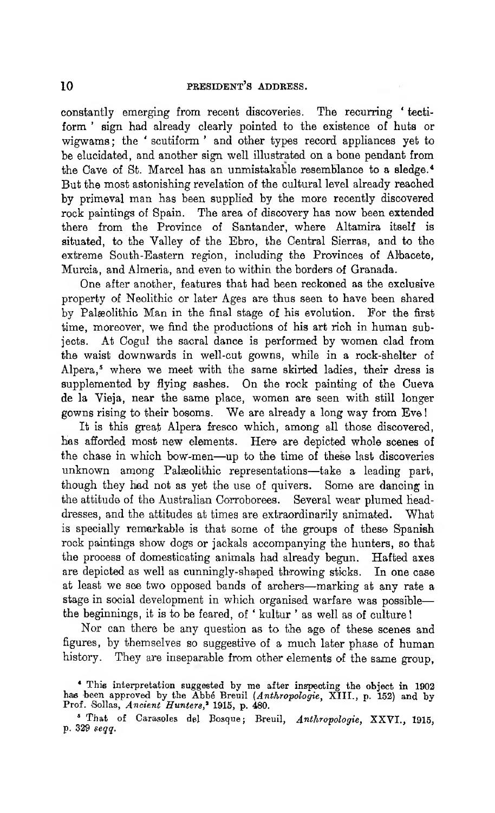constantly emerging from recent discoveries. The recurring 'tectiform ' sign had already clearly pointed to the existence of huts or wigwams ; the ' scutiform ' and other types record appliances yet to be elucidated, and another sign well illustrated on a bone pendant from the Cave of St. Marcel has an unmistakable resemblance to a sledge.4 But the most astonishing revelation of the cultural level already reached by primeval man has been supplied by the more recently discovered rock paintings of Spain. The area of discovery has now been extended there from the Province of Santander, where Altamira itself is situated, to the Valley of the Ebro, the Central Sierras, and to the extreme South-Eastern region, including the Provinces of Albacete, Murcia, and Almeria, and even to within the borders of Granada.

One after another, features that had been reckoned as the exclusive property of Neolithic or later Ages are thus seen to have been shared by Palaeolithic Man in the final stage of his evolution. For the first time, moreover, we find the productions of his art rich in human subjects. At Cogul the sacral dance is performed by women clad from the waist downwards in well-cut gowns, while in a rock-shelter of Alpera,<sup>5</sup> where we meet with the same skirted ladies, their dress is supplemented by flying sashes. On the rock painting of the Cueva de la Vieja, near the same place, women are seen with still longer gowns rising to their bosoms. We are already a long way from Eve !

It is this great Alpera fresco which, among all those discovered, has afforded most new elements. Here are depicted whole scenes of the chase in which bow-men— up to the time of these last discoveries unknown among Palaeolithic representations— take a leading part, though they had not as yet the use of quivers. Some are dancing in the attitude of the Australian Corroborees. Several wear plumed headdresses, and the attitudes at times are extraordinarily animated. What is specially remarkable is that some of the groups of these Spanish rock paintings show dogs or jackals accompanying the hunters, so that the process of domesticating animals had already begun. Hafted axes are depicted as well as cunningly-shaped throwing sticks. In one case at least we see two opposed bands of archers— marking at any rate a stage in social development in which organised warfare was possible the beginnings, it is to be feared, of ' kultur ' as well as of culture !

Nor can there be any question as to the age of these scenes and figures, by themselves so suggestive of a much later phase of human history. They are inseparable from other elements of the same group,

This interpretation suggested by me after inspecting the object in 1902<br>has been approved by the Abbé Breuil (Anthropologie, XIII., p. 152) and by<br>Prof. Sollas, Ancient Hunters,<sup>2</sup> 1915, p. 480.

**<sup>5</sup> That of Carasoles del Bosque; Breuil,** *Anthropologie,* **X X V I ., 1915, p. 329** *segq.*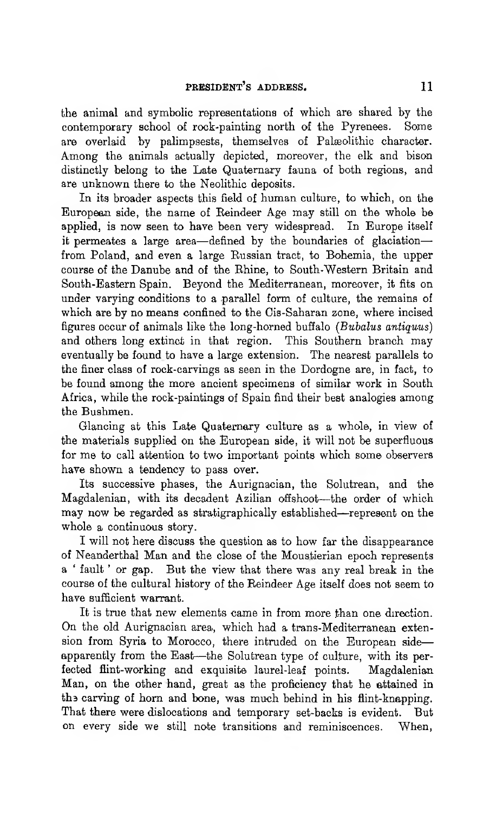the animal and symbolic representations of which are shared by the contemporary school of rock-painting north of the Pyrenees. Some are overlaid by palimpsests, themselves of Palaeolithic character. Among the animals actually depicted, moreover, the elk and bison distinctly belong to the Late Quaternary fauna of both regions, and are unknown there to the Neolithic deposits.

In its broader aspects this field of human culture, to which, on the European side, the name of Reindeer Age may still on the whole be applied, is now seen to have been very widespread. In Europe itself it permeates a large area— defined by the boundaries of glaciation from Poland, and even a large Russian tract, to Bohemia, the upper course of the Danube and of the Rhine, to South-Western Britain and South-Eastern Spain. Beyond the Mediterranean, moreover, it fits on under varying conditions to a parallel form of culture, the remains of which are by no means confined to the Gis-Saharan zone, where incised figures occur of animals like the long-horned buffalo *(Bubalus antiqnus)* and others long extinct in that region. This Southern branch may eventually be found to have a large extension. The nearest parallels to the finer class of rock-carvings as seen in the Dordogne are, in fact, to be found among the more ancient specimens of similar work in South Africa, while the rock-paintings of Spain find their best analogies among the Bushmen.

Glancing at this Late Quaternary culture as a whole, in view of the materials supplied on the European side, it will not be superfluous for me to call attention to two important points which some observers have shown a tendency to pass over.

Its successive phases, the Aurignacian, the Solutrean, and the Magdalenian, with its decadent Azilian offshoot— the order of which may now be regarded as stratigraphically established—represent on the whole a continuous story.

I will not here discuss the question as to how far the disappearance of Neanderthal Man and the close of the Moustierian epoch represents a ' fault ' or gap. But the view that there was any real break in the course of the cultural history of the Reindeer Age itself does not seem to have sufficient warrant.

It is true that new elements came in from more than one direction. On the old Aurignacian area, which had a trans-Mediterranean extension from Syria to Morocco, there intruded on the European side apparently from the East— the Solutrean type of culture, with its perfected flint-working and exquisite laurel-leaf points. Magdalenian Man, on the other hand, great as the proficiency that he attained in tha carving of horn and bone, was much behind in his flint-knapping. That there were dislocations and temporary set-backs is evident. But on every side we still note transitions and reminiscences. When,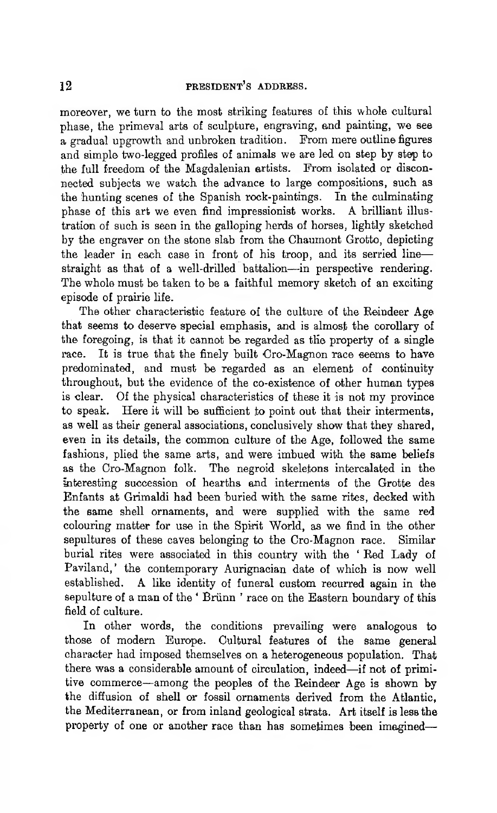moreover, we turn to the most striking features of this whole cultural phase, the primeval arts of sculpture, engraving, end painting, we see a gradual upgrowth and unbroken tradition. From mere outline figures and simple two-legged profiles of animals we are led on step by step to the full freedom of the Magdalenian artists. From isolated or disconnected subjects we watch the advance to large compositions, such as the hunting scenes of the Spanish rock-paintings. In the culminating phase of this art we even find impressionist works. A brilliant illustration of such is seen in the galloping herds of horses, lightly sketched by the engraver on the stone slab from the Chaumont Grotto, depicting the leader in each case in front of his troop, and its serried line straight as that of a well-drilled battalion— in perspective rendering. The whole must be taken to be a faithful memory sketch of an exciting episode of prairie life.

The other characteristic feature of the culture of the Reindeer Age that seems to deserve special emphasis, and is almost the corollary of the foregoing, is that it cannot be regarded as the property of a single race. It is true that the finely built Cro-Magnon race seems to have predominated, and must be regarded as an element of continuity throughout, but the evidence of the co-existence of other human types is clear. Of the physical characteristics of these it is not my province to speak. Here it will be sufficient to point out that their interments, as well as their general associations, conclusively show that they shared, even in its details, the common culture of the Age, followed the same fashions, plied the same arts, and were imbued with the same beliefs as the Cro-Magnon folk. The negroid skeletons intercalated in the interesting succession of hearths and interments of the Grotte des Enfants at Grimaldi had been buried with the same rites, decked with the same shell ornaments, and were supplied with the same red colouring matter for use in the Spirit World, as we find in the other sepultures of these caves belonging to the Cro-Magnon race. Similar burial rites were associated in this country with the \* Red Lady of Paviland,' the contemporary Aurignacian date of which is now well established. A like identity of funeral custom recurred again in the sepulture of a man of the 'Brünn' race on the Eastern boundary of this field of culture.

In other words, the conditions prevailing were analogous to those of modern Europe. Cultural features of the same general character had imposed themselves on a heterogeneous population. That there was a considerable amount of circulation, indeed—if not of primitive commerce—among the peoples of the Reindeer Age is shown by the diffusion of shell or fossil ornaments derived from the Atlantic, the Mediterranean, or from inland geological strata. Art itself is less the property of one or another race than has sometimes been imagined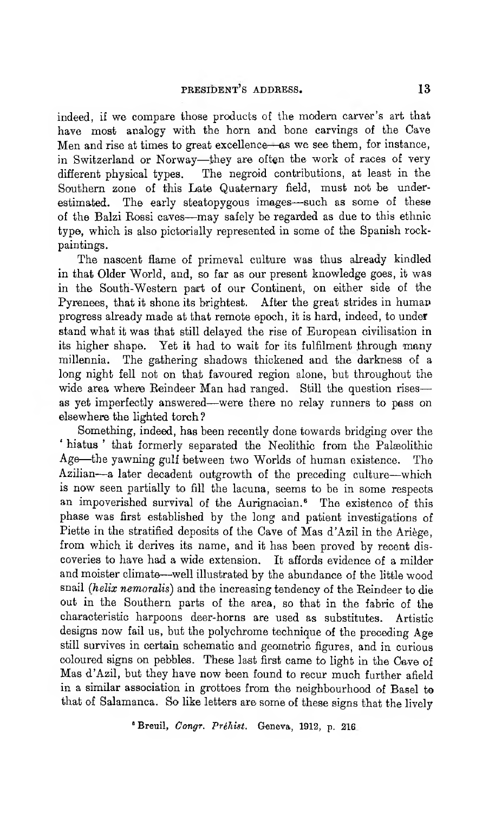indeed, if we compare those products of the modern carver's art that have most analogy with the horn and bone carvings of the Cave Men and rise at times to great excellence—as we see them, for instance, in Switzerland or Norway— they are often the work of races of very different physical types. The negroid contributions, at least in the Southern zone of this Late Quaternary field, must not he underestimated. The early steatopygous images— such as some of these of the Balzi Rossi caves—may safely be regarded as due to this ethnic type, which is also pictorially represented in some of the Spanish rockpaintings.

The nascent flame of primeval culture was thus already kindled in that Older World, and, so far as our present knowledge goes, it was in the South-Western part of our Continent, on either side of the Pyrenees, that it shone its brightest. After the great strides in human progress already made at that remote epoch, it is hard, indeed, to under stand what it was that still delayed the rise of European civilisation in its higher shape. Yet it had to wait for its fulfilment through many millennia. The gathering shadows thickened and the darkness of a long night fell not on that favoured region alone, but throughout the wide area where Beindeer Man had ranged. Still the question rises as yet imperfectly answered— were there no relay runners to pass on elsewhere the lighted torch ?

Something, indeed, has been recently done towards bridging over the ' hiatus ' that formerly separated the Neolithic from the Palaeolithic Age— the yawning gulf between two Worlds of human existence. The Azilian— a later decadent outgrowth of the preceding culture— which is now seen partially to fill the lacuna, seems to be in some respects an impoverished survival of the Aurignacian.<sup>6</sup> The existence of this phase was first established by the long and patient investigations of Piette in the stratified deposits of the Cave of Mas d 'Azil in the Ariège, from which it derives its name, and it has been proved by recent discoveries to have had a wide extension. It affords evidence of a milder and moister climate— well illustrated by the abundance of the little wood snail *(helix nemoralis*) and the increasing tendency of the Beindeer to die out in the Southern parts of the area, so that in the fabric of the characteristic harpoons deer-horns are used as substitutes. Artistic designs now fail us, but the polychrome technique of the preceding Age still survives in certain schematic and geometric figures, and in curious coloured signs on pebbles. These last first came to light in the Cave of Mas d 'Azil, but they have now been found to recur much further afield in a similar association in grottoes from the neighbourhood of Basel to that of Salamanca. So like letters are some of these signs that the lively

**" Breuil,** *Congr. Préhist.* **Geneva, 1912, p. 216**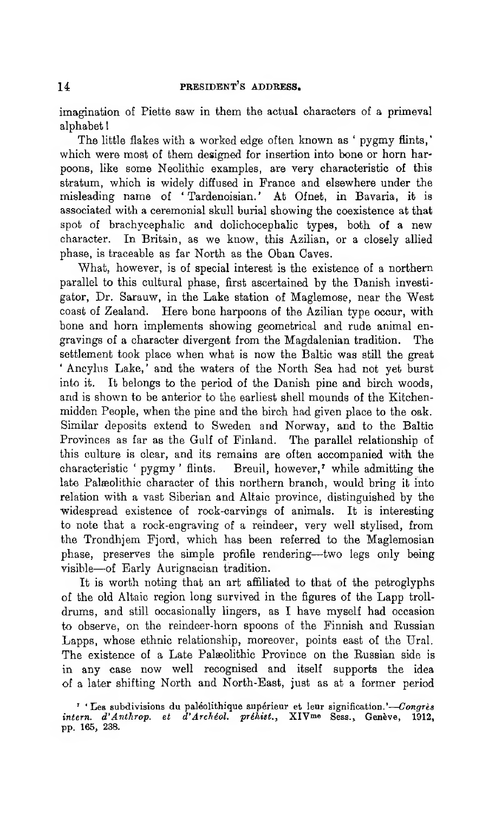imagination of Piette saw in them the actual characters of a primeval alphabet !

The little flakes with a worked edge often known as ' pygmy flints,' which were most of them designed for insertion into bone or horn harpoons, like some Neolithic examples, are very characteristic of this stratum, which is widely diffused in France and elsewhere under the misleading name of ' Tardenoisian. ' At Ofnet, in Bavaria, it is associated with a ceremonial skull burial showing the coexistence at that spot of brachycephalic and dolichocephalic types, both of a new character. In Britain, as we know, this Azilian, or a closely allied phase, is traceable as far North as the Oban Caves.

What, however, is of special interest is the existence of a northern parallel to this cultural phase, first ascertained by the Danish investigator, Dr. Sarauw, in the Lake station of Maglemose, near the West coast of Zealand. Here bone harpoons of the Azilian type occur, with bone and horn implements showing geometrical and rude animal engravings of a character divergent from the Magdalenian tradition. The settlement took place when what is now the Baltic was still the great ' Ancylus Lake,' and the waters of the North Sea had not yet burst into it. It belongs to the period of the Danish pine and birch woods, and is shown to be anterior to the earliest shell mounds of the Kitchenmidden People, when the pine and the birch had given place to the oak. Similar deposits extend to Sweden and Norway, and to the Baltic Provinces as far as the Gulf of Finland. The parallel relationship of this culture is clear, and its remains are often accompanied with the characteristic ' pygmy ' flints. Breuil, however,' while admitting the late Palaeolithic character of this northern branch, would bring it into relation with a vast Siberian and Altaic province, distinguished by the widespread existence of rock-carvings of animals. It is interesting to note that a rock-engraving of a reindeer, very well stylised, from the Trondhjem Fjord, which has been referred to the Maglemosian phase, preserves the simple profile rendering— two legs only being visible— of Early Aurignacian tradition.

It is worth noting that an art affiliated to that of the petroglyphs of the old Altaic region long survived in the figures of the Lapp trolldrums, and still occasionally lingers, as I have myself had occasion to observe, on the reindeer-horn spoons of the Finnish and Russian Lapps, whose ethnic relationship, moreover, points east of the Ural. The existence of a Late Palaeolithic Province on the Russian side is in any case now well recognised and itself supports the idea of a later shifting North and North-East, just as at a former period

*<sup>1</sup>* **' Les subdivisions du paléolithique supérieur et leur signification***.'— Congrès intern, d'Anthrop. et d'Archéol. préhist.,* **X I V me Sess., Genève, 1912, pp. 165, 238.**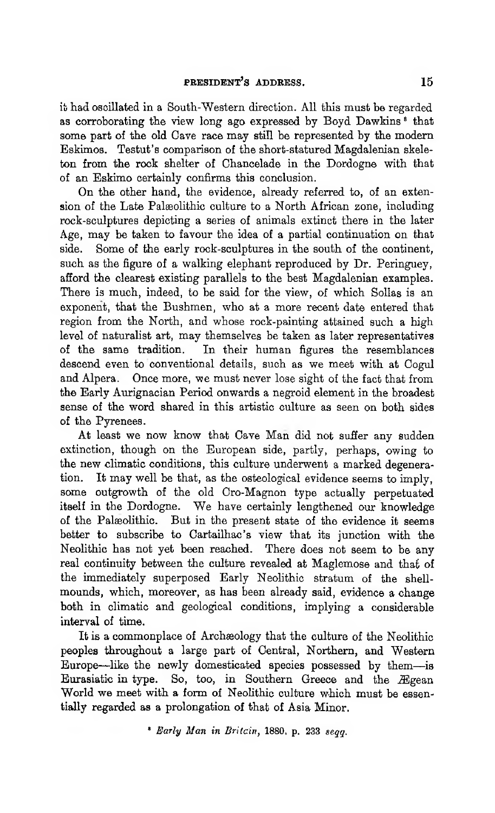it had oscillated in a South-Western direction. All this must be regarded as corroborating the view long ago expressed by Boyd Dawkins<sup>8</sup> that some part of the old Cave race may still be represented by the modem Eskimos. Testut's comparison of the short-statured Magdalenian skeleton from the rock shelter of Chancelade in the Dordogne with that of an Eskimo certainly confirms this conclusion.

On the other hand, the evidence, already referred to, of an extension of the Late Palæolithic culture to a North African zone, including rock-sculptures depicting a series of animals extinct there in the later Age, may be taken to favour the idea of a partial continuation on that side. Some of the early rock-sculptures in the south of the continent, such as the figure of a walking elephant reproduced by Dr. Peringuey, afford the clearest existing parallels to the best Magdalenian examples. There is much, indeed, to be said for the view, of which Sollas is an exponent, that the Bushmen, who at a more recent date entered that region from the North, and whose rock-painting attained such a high level of naturalist art, may themselves be taken as later representatives of the same tradition. In their human figures the resemblances descend even to conventional details, such as we meet with at Cogul and Alpera. Once more, we must never lose sight of the fact that from the Early Aurignacian Period onwards a negroid element in the broadest sense of the word shared in this artistic culture as seen on both sides of the Pyrenees.

At least we now know that Cave Man did not suffer any sudden extinction, though on the European side, partly, perhaps, owing to the new climatic conditions, this culture underwent a marked degeneration. It may well be that, as the osteological evidence seems to imply, some outgrowth of the old Cro-Magnon type actually perpetuated itself in the Dordogne. We have certainly lengthened our knowledge of the Palaeolithic. But in the present state of the evidence it seems better to subscribe to Cartailhac's view that its junction with the Neolithic has not yet been reached. There does not seem to be any real continuity between the culture revealed at Maglemose and that of the immediately superposed Early Neolithic stratum of the shellmounds, which, moreover, as has been already said, evidence a change both in climatic and geological conditions, implying a considerable interval of time.

It is a commonplace of Archaeology that the culture of the Neolithic peoples throughout a large part of Central, Northern, and Western Europe— like the newly domesticated species possessed by them— is Eurasiatic in type. So, too, in Southern Greece and the Ægean World we meet with a form of Neolithic culture which must be essentially regarded as a prolongation of that of Asia Minor.

**8** *Early Man in Britein***, 1880, p. 233** *seqq.*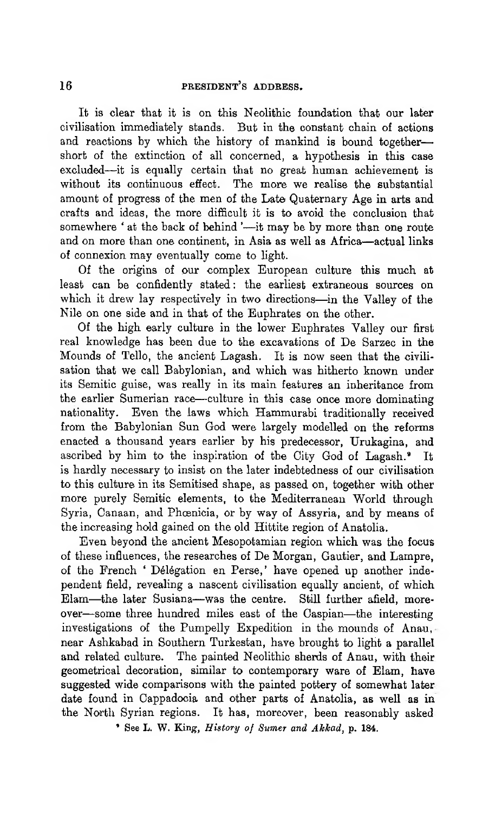It is clear that it is on this Neolithic foundation that our later civilisation immediately stands. But in the constant chain of actions and reactions by which the history of mankind is bound together short of the extinction of all concerned, a hypothesis in this case excluded— it is equally certain that no great human achievement is without its continuous effect. The more we realise the substantial amount of progress of the men of the Late Quaternary Age in arts and crafts and ideas, the more difficult it is to avoid the conclusion that somewhere ' at the back of behind '—it may be by more than one route and on more than one continent, in Asia as well as Africa— actual links of connexion may eventually come to light.

Of the origins of our complex European culture this much at least can be confidently stated: the earliest extraneous sources on which it drew lay respectively in two directions—in the Valley of the Nile on one side and in that of the Euphrates on the other.

Of the high early culture in the lower Euphrates Valley our first real knowledge has been due to the excavations of De Sarzec in the Mounds of Tello, the ancient Lagash. It is now seen that the civilisation that we call Babylonian, and which was hitherto known under its Semitic guise, was really in its main features an inheritance from the earlier Sumerian race— culture in this case once more dominating nationality. Even the laws which Hammurabi traditionally received from the Babylonian Sun God were largely modelled on the reforms enacted a thousand years earlier by his predecessor, Urukagina, and ascribed by him to the inspiration of the City God of Lagash.9 It is hardly necessary to insist on the later indebtedness of our civilisation to this culture in its Semitised shape, as passed on, together with other more purely Semitic elements, to the Mediterranean World through Syria, Canaan, and Phoenicia, or by way of Assyria, and by means of the increasing hold gained on the old Hittite region of Anatolia.

Even beyond the ancient Mesopotamian region which was the focus of these influences, the researches of De Morgan, Gautier, and Lampre, of the French ' Délégation en Perse,' have opened up another independent field, revealing a nascent civilisation equally ancient, of which Elam— the later Susiana— was the centre. Still further afield, moreover— some three hundred miles east of the Caspian— the interesting investigations of the Pumpelly Expedition in the mounds of Anau, near Ashkabad in Southern Turkestan, have brought to light a parallel and related culture. The painted Neolithic sherds of Anau, with their geometrical decoration, similar to contemporary ware of Elam, have suggested wide comparisons with the painted pottery of somewhat later date found in Cappadocia and other parts of Anatolia, as well as in the North Syrian regions. It has, moreover, been reasonably asked

**\* See L. W . King,** *History of Sumer and Akkad,* **p. 184.**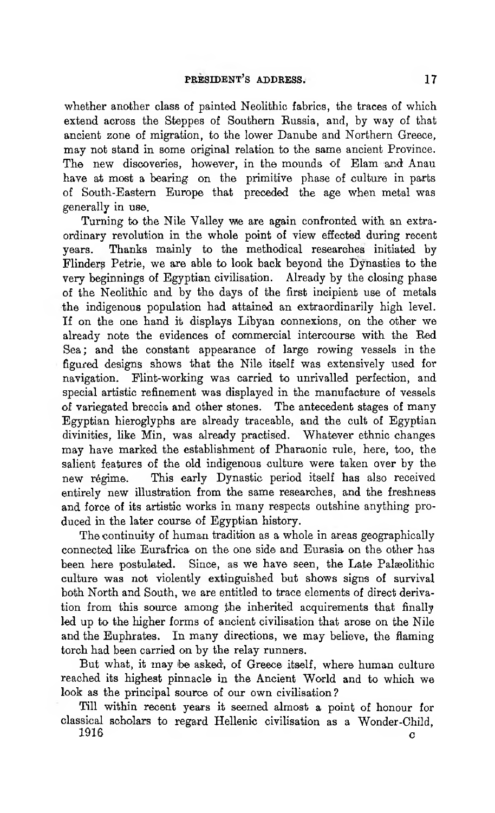whether another class of painted Neolithic fabrics, the traces of which extend across the Steppes of Southern Russia, and, by way of that ancient zone of migration, to the lower Danube and Northern Greece, may not stand in some original relation to the same ancient Province. The new discoveries, however, in the mounds of Elam and Anau have at most a bearing on the primitive phase of culture in parts of South-Eastern Europe that preceded the age when metal was generally in use.

Turning to the Nile Valley we are again confronted with an extraordinary revolution in the whole point of view effected during recent years. Thanks mainly to the methodical researches initiated by Flinders Petrie, we are able to look back beyond the Dynasties to the very beginnings of Egyptian civilisation. Already by the closing phase of the Neolithic and by the days of the first incipient use of metals the indigenous population had attained an extraordinarily high level. If on the one hand it displays Libyan connexions, on the other we already note the evidences of commercial intercourse with the Red Sea; and the constant appearance of large rowing vessels in the figured designs shows that the Nile itself was extensively used for navigation. Flint-working was carried to unrivalled perfection, and special artistic refinement was displayed in the manufacture of vessels of variegated breccia and other stones. The antecedent stages of many Egyptian hieroglyphs are already traceable, and the cult of Egyptian divinities, like Min, was already practised. Whatever ethnic changes may have marked the establishment of Pharaonic rule, here, too, the salient features of the old indigenous culture were taken over by the new régime. This early Dynastic period itself has also received entirely new illustration from the same researches, and the freshness and force of its artistic works in many respects outshine anything produced in the later course of Egyptian history.

The continuity of human tradition as a whole in areas geographically connected like Eurafrica on the one side and Eurasia on the other has been here postulated. Since, as we have seen, the Late Palaeolithic culture was not violently extinguished but shows signs of survival both North and South, we are entitled to trace elements of direct derivation from this source among the inherited acquirements that finally led up to the higher forms of ancient civilisation that arose on the Nile and the Euphrates. In many directions, we may believe, the flaming torch had been carried on by the relay runners.

But what, it may be asked; of Greece itself, where human culture reached its highest pinnacle in the Ancient World and to which we look as the principal source of our own civilisation?

Till within recent years it seemed almost a point of honour for classical scholars to regard Hellenic civilisation as a Wonder-Child,  $1916$  contracts to  $\sim$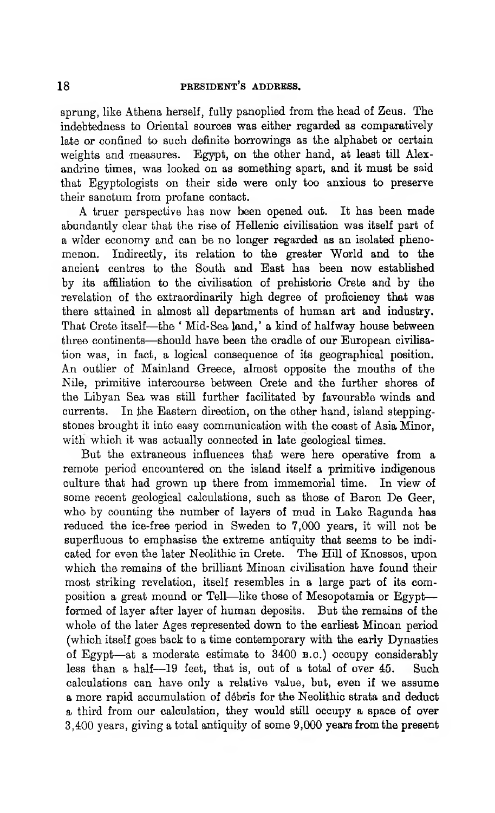sprung, like Athena herself, fully panoplied from the head of Zeus. The indebtedness to Oriental sources was either regarded as comparatively late or confined to such definite borrowings as the alphabet or certain weights and measures. Egypt, on the other hand, at least till Alexandrine times, was looked on as something apart, and it must be said that Egyptologists on their side were only too anxious to preserve their sanctum from profane contact.

A truer perspective has now been opened out. It has been made abundantly clear that the rise of Hellenic civilisation was itself part of a wider economy and can be no longer regarded as an isolated phenomenon. Indirectly, its relation to the greater World and to the ancient centres to the South and East has been now established by its affiliation to the civilisation of prehistoric Crete and by the revelation of the extraordinarily high degree of proficiency that was there attained in almost all departments of human art and industry. That Crete itself—the 'Mid-Sea land,' a kind of halfway house between three continents— should have been the cradle of our European civilisation was, in fact, a logical consequence of its geographical position. An outher of Mainland Greece, almost opposite the mouths of the Nile, primitive intercourse between Crete and the further shores of the Libyan Sea was still further facilitated by favourable winds and currents. In the Eastern direction, on the other hand, island steppingstones brought it into easy communication with the coast of Asia Minor, with which it was actually connected in late geological times.

But the extraneous influences that were here operative from a remote period encountered on the island itself a primitive indigenous culture that had grown up there from immemorial time. In view of some recent geological calculations, such as those of Baron De Geer, who by counting the number of layers of mud in Lake Bagunda has reduced the ice-free period in Sweden to 7,000 years, it will not be superfluous to emphasise the extreme antiquity that seems to be indicated for even the later Neolithic in Crete. The Hill of Knossos, upon which the remains of the brilliant Minoan civilisation have found their most striking revelation, itself resembles in a large part of its composition a great mound or Tell— like those of Mesopotamia or Egypt formed of layer after layer of human deposits. But the remains of the whole of the later Ages represented down to the earliest Minoan period (which itself goes back to a time contemporary with the early Dynasties of Egypt— at a moderate estimate to 3400 **b.c.)** occupy considerably less than a half—19 feet, that is, out of a total of over 45. Such calculations can have only a relative value, but, even if we assume a more rapid accumulation of débris for the Neolithic strata and deduct a third from our calculation, they would still occupy a space of over 3,400 years, giving a total antiquity of some 9,000 years from the present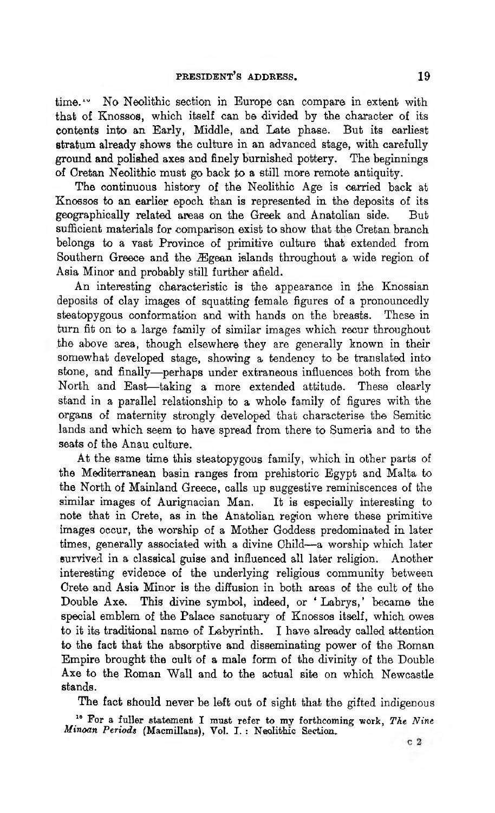time.<sup>10</sup> No Neolithic section in Europe can compare in extent with that of Knossos, which itself can be divided by the character of its contents into an Early, Middle, and Late phase. But its earliest stratum already shows the culture in an advanced stage, with carefully ground and polished axes and finely burnished pottery. The beginnings of Cretan Neolithic must go back to a still more remote antiquity.

The continuous history of the Neolithic Age is carried back at Knossos to an earlier epoch than is represented in. the deposits of its geographically related areas on the Greek and Anatolian side. But sufficient materials for comparison exist to show that the Cretan branch belongs to a vast Province of primitive culture that extended from Southern Greece and the Ægean islands throughout a wide region of Asia Minor and probably still further afield.

An interesting characteristic is the appearance in the Knossian deposits of clay images of squatting female figures of a pronouncedly steatopygous conformation and with hands on the breasts. These in turn fit on to a large family of similar images which recur throughout the above area, though elsewhere they are generally known in their somewhat developed stage, showing a tendency to be translated into stone, and finally— perhaps under extraneous influences both from the North and East— taking a more extended attitude. These clearly stand in a parallel relationship to a whole family of figures with the organs of maternity strongly developed that characterise the Semitic lands and which seem to have spread from there to Sumeria and to the seats of the Anau culture.

At the same time this steatopygous family, which in other parts of the Mediterranean basin ranges from prehistoric Egypt and Malta to the North of Mainland Greece, calls up suggestive reminiscences of the similar images of Aurignacian Man. It is especially interesting to note that in Crete, as in the Anatolian region where these primitive images occur, the worship of a Mother Goddess predominated in later times, generally associated with a divine Child— a worship which later survived in a classical guise and influenced all later religion. Another interesting evidence of the underlying religious community between Crete and Asia Minor is the diffusion in both areas of the cult of the Double Axe. This divine symbol, indeed, or ' Labrys,' became the special emblem of the Palace sanctuary of Knossos itself, which owes to it its traditional name of Labyrinth. I have already called attention to the fact that the absorptive and disseminating power of the Roman Empire brought the cult of a male form of the divinity of the Double Axe to the Roman Wall and to the actual site on which Newcastle stands.

The fact should never be left out of sight that the gifted indigenous

**10 For a fuller statement I must refer to my forthcoming work,** *The Nine Minoan Periods* **(Macmillans), Vol. I. : Neolithic Section.**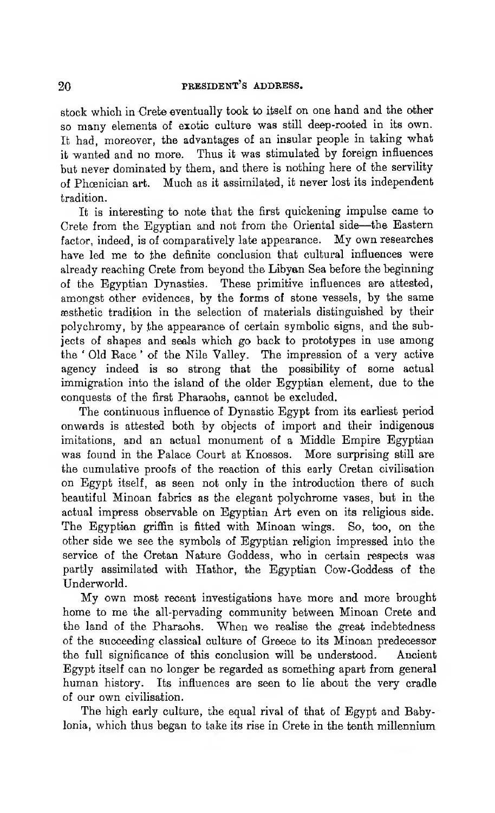stock which in Crete eventually took to itself on one hand and the other so many elements of exotic culture was still deep-rooted in its own. It had, moreover, the advantages of an insular people in taking what it wanted and no more. Thus it was stimulated hy foreign influences hut never dominated by them, and there is nothing here of the servility of Phoenician art. Much as it assimilated, it never lost its independent tradition.

It is interesting to note that the first quickening impulse came to Crete from the Egyptian and not from the Oriental side— the Eastern factor, indeed, is of comparatively late appearance. My own researches have led me to the definite conclusion that cultural influences were already reaching Crete from beyond the Libyan Sea before the beginning of the Egyptian Dynasties. These primitive influences are attested, amongst other evidences, by the forms of stone vessels, by the same aesthetic tradition in the selection of materials distinguished hy their polychromy, by the appearance of certain symbolic signs, and the subjects of shapes and seals which go back to prototypes in use among the ' Old Race ' of the Nile Valley. The impression of a very active agency indeed is so strong that the possibility of some actual immigration into the island of the older Egyptian element, due to the conquests of the first Pharaohs, cannot be excluded.

The continuous influence of Dynastic Egypt from its earliest period onwards is attested both by objects of import and their indigenous imitations, and an actual monument of a Middle Empire Egyptian was found in the Palace Court at Knossos. More surprising still are the cumulative proofs of the reaction of this early Cretan civilisation on Egypt itself, as seen not only in the introduction there of such beautiful Minoan fabrics as the elegant polychrome vases, but in the actual impress observable on Egyptian Art even on its religious side. The Egyptian griffin is fitted with Minoan wings. So, too, on the other side we see the symbols of Egyptian religion impressed into the service of the Cretan Nature Goddess, who in certain respects was partly assimilated with Hathor, the Egyptian Cow-Goddess of the Underworld.

My own most recent investigations have more and more brought home to me the all-pervading community between Minoan Crete and the land of the Pharaohs. When we realise the great indebtedness of the succeeding classical culture of Greece to its Minoan predecessor the full significance of this conclusion will be understood. Ancient Egypt itself can no longer be regarded as something apart from general human history. Its influences are seen to lie about the very cradle of our own civilisation.

The high early culture, the equal rival of that of Egypt and Babylonia, which thus began to take its rise in Crete in the tenth millennium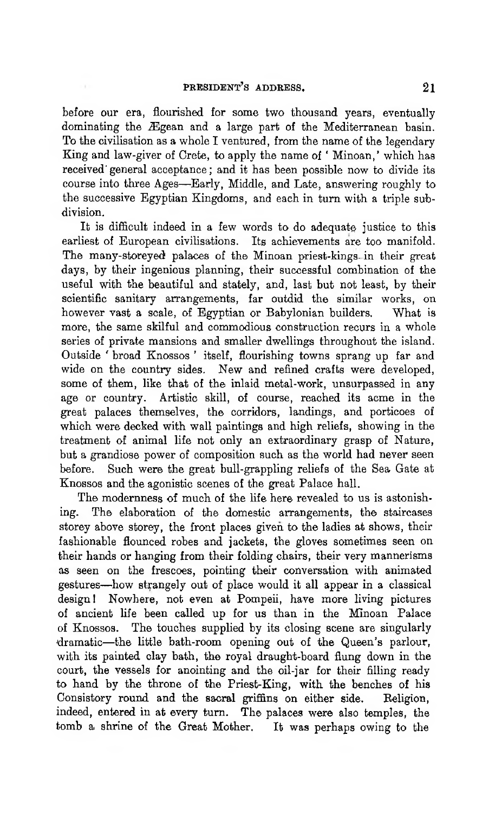before our era, flourished for some two thousand years, eventually dominating the Ægean and a large part of the Mediterranean basin. To the civilisation as a whole I ventured, from the name of the legendary King and law-giver of Crete, to apply the name of ' Minoan,' which has received' general acceptance ; and it has been possible now to divide its course into three Ages— Early, Middle, and Late, answering roughly to the successive Egyptian Kingdoms, and each in turn with a triple subdivision.

It is difficult indeed in a few words to do adequate justice to this earliest of European civilisations. Its achievements are too manifold. The many-storeyed palaces of the Minoan priest-kings- in their great days, by their ingenious planning, their successful combination of the useful with the beautiful and stately, and, last but not least, by their scientific sanitary arrangements, far outdid the similar works, on however vast a scale, of Egyptian or Babylonian builders. What is more, the same skilful and commodious construction recurs in a whole series of private mansions and smaller dwellings throughout the island. Outside ' broad Knossos ' itself, flourishing towns sprang up far and wide on the country sides. New and refined crafts were developed, some of them, like that of the inlaid metal-work, unsurpassed in any age or country. Artistic skill, of course, reached its acme in the great palaces themselves, the corridors, landings, and porticoes of which were decked with wall paintings and high reliefs, showing in the treatment of animal life not only an extraordinary grasp of Nature, but a grandiose power of composition such as the world had never seen before. Such were the great bull-grappling reliefs of the Sea Gate at Knossos and the agonistic scenes of the great Palace hall.

The modernness of much of the life here revealed to us is astonishing. The elaboration of the domestic arrangements, the staircases storey above storey, the front places given to the ladies at shows, their fashionable flounced robes and jackets, the gloves sometimes seen on their hands or hanging from their folding chairs, their very mannerisms as seen on the frescoes, pointing their conversation with animated gestures— how strangely out of place would it all appear in a classical design! Nowhere, not even at Pompeii, have more living pictures of ancient life been called up for us than in the Minoan Palace of Knossos. The touches supplied by its closing scene are singularly dramatic— the little bath-room opening out of the Queen's parlour, with its painted clay bath, the royal draught-board flung down in the court, the vessels for anointing and the oil-jar for their filling ready to hand by the throne of the Priest-King, with the benches of his Consistory round and the sacral griffins on either side. Religion, indeed, entered in at every turn. The palaces were also temples, the tomb a shrine of the Great Mother. It was perhaps owing to the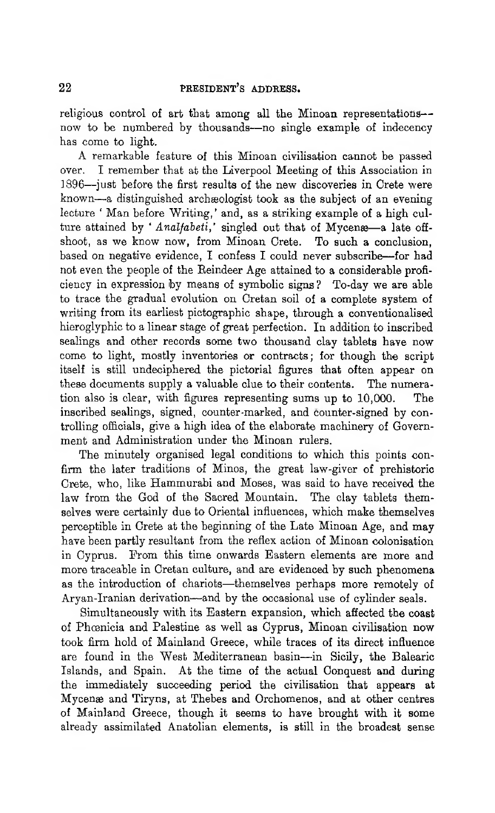religious control of art that among all the Minoan representations now to be numbered by thousands— no single example of indecency has come to light.

A remarkable feature of this Minoan civilisation cannot be passed over. I remember that at the Liverpool Meeting of this Association in 1896— just before the first results of the new discoveries in Crete were known— a distinguished archaeologist took as the subject of an evening lecture ' Man before Writing, ' and, as a striking example of a high culture attained by 'Analfabeti,' singled out that of Mycena-a late offshoot, as we know now, from Minoan Crete. To such a conclusion, based on negative evidence, I confess I could never subscribe— for had not even the people of the Reindeer Age attained to a considerable proficiency in expression by means of symbolic signs ? To-day we are able to trace the gradual evolution on Cretan soil of a complete system of writing from its earliest pictographic shape, through a conventionalised hieroglyphic to a linear stage of great perfection. In addition to inscribed sealings and other records some two thousand clay tablets have now come to light, mostly inventories or contracts; for though the script itself is still undeciphered the pictorial figures that often appear on these documents supply a valuable clue to their contents. The numeration also is clear, with figures representing sums up to 10,000. The inscribed sealings, signed, counter-marked, and counter-signed by controlling officials, give a high idea of the elaborate machinery of Government and Administration under the Minoan rulers.

The minutely organised legal conditions to which this points confirm the later traditions of Minos, the great law-giver of prehistoric Crete, who, like Hammurabi and Moses, was said to have received the law from the God of the Sacred Mountain. The clay tablets themselves were certainly due to Oriental influences, which make themselves perceptible in Crete at the beginning of the Late Minoan Age, and may have been partly resultant from the reflex action of Minoan colonisation in Cyprus. From this time onwards Eastern elements are more and more traceable in Cretan culture, and are evidenced by such phenomena as the introduction of chariots— themselves perhaps more remotely of Aryan-Iranian derivation— and by the occasional use of cylinder seals.

Simultaneously with its Eastern expansion, which affected the coast of Phoenicia and Palestine as well as Cyprus, Minoan civilisation now took firm hold of Mainland Greece, while traces of its direct influence are found in the West Mediterranean basin— in Sicily, the Balearic Islands, and Spain. At the time of the actual Conquest and during the immediately succeeding period the civilisation that appears at My cense and Tiryns, at Thebes and Orchomenos, and at other centres of Mainland Greece, though it seems to have brought with it some already assimilated Anatolian elements, is still in the broadest sense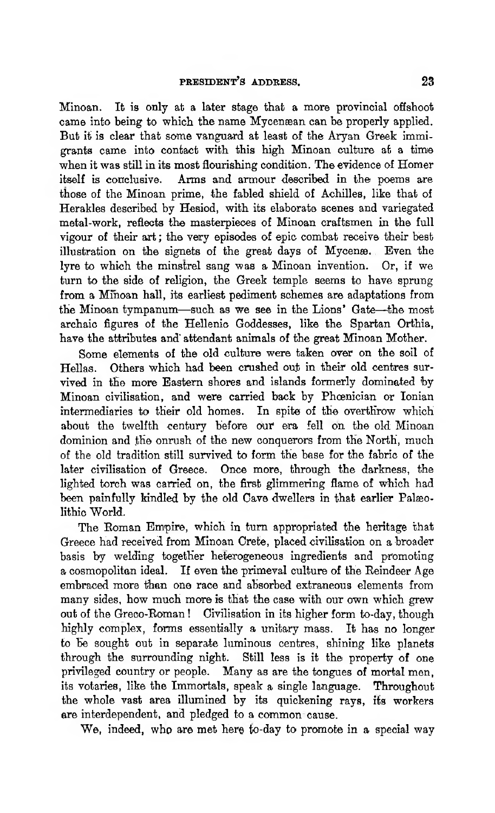Minoan. It is only at a later stage that a more provincial offshoot came into being to which the name Mycenæan can be properly applied. But it is clear that some vanguard at least of the Aryan Greek immigrants came into contact with this high Minoan culture at a time when it was still in its most flourishing condition. The evidence of Homer itself is conclusive. Arms and armour described in the poems are those of the Minoan prime, the fabled shield of Achilles, like that of Herakles described by Hesiod, with its elaborate scenes and variegated metal-work, reflects the masterpieces of Minoan craftsmen in the full vigour of their art; the very episodes of epic combat receive their best illustration on the signets of the great days of Mycenæ. Even the lyre to which the minstrel sang was a Minoan invention. Or, if we turn to the side of religion, the Greek temple seems to have sprung from a Minoan hall, its earliest pediment schemes are adaptations from the Minoan tympanum— such as we see in the Lions' Gate—the most archaic figures of the Hellenic Goddesses, like the Spartan Orthia, have the attributes and' attendant animals of the great Minoan Mother.

Some elements of the old culture were taken over on the soil of Hellas. Others which had been crushed out in their old centres survived in the more Eastern shores and islands formerly dominated by Minoan civilisation, and were carried back by Phoenician or Ionian intermediaries to their old homes. In spite of the overthrow which about the twelfth century before our era fell on the old Minoan dominion and the onrush of the new conquerors from the North, much of the old tradition still survived to form the base for the fabric of the later civilisation of Greece. Once more, through the darkness, the lighted torch was carried on, the first glimmering flame of which had been painfully kindled by the old Cave dwellers in that earlier Palseolithic World.

The Eoman Empire, which in turn appropriated the heritage that Greece had received from Minoan Crete, placed civilisation on a broader basis by welding together heterogeneous ingredients and promoting a cosmopolitan ideal. If even the primeval culture of the Beindeer Age embraced more than one race and absorbed extraneous elements from many sides, how much more is that the case with our own which grew out of the Greco-Boman ! Civilisation in its higher form to-day, though highly complex, forms essentially a unitary mass. It has no longer to be sought out in separate luminous centres, shining like planets through the surrounding night. Still less is it the property of one privileged country or people. Many as are the tongues of mortal men, its votaries, like the Immortals, speak a single language. Throughout the whole vast area illumined by its quickening rays, its workers are interdependent, and pledged to a common cause.

We, indeed, who are met here to-day to promote in a special way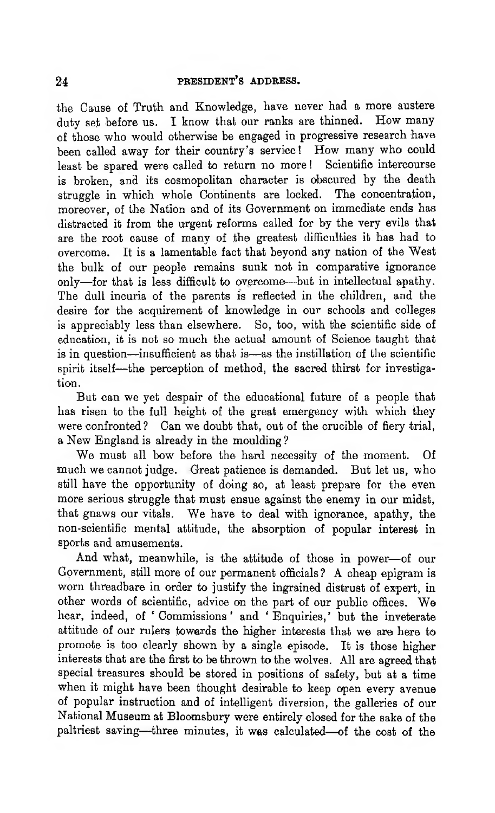the Cause of Truth and Knowledge, have never had a more austere duty set before us. I know that our ranks are thinned. How many of those who would otherwise be engaged in progressive research have been called away for their country's service! How many who could least be spared were called to return no more ! Scientific intercourse is broken, and its cosmopolitan character is obscured hy the death struggle in which whole Continents are locked. The concentration, moreover, of the Nation and of its Government on immediate ends has distracted it from the urgent reforms called for by the very evils that are the root cause of many of the greatest difficulties it has had to overcome. It is a lamentable fact that beyond any nation of the West the bulk of our people remains sunk not in comparative ignorance only— for that is less difficult to overcome—hut in intellectual apathy. The dull incuria of the parents is reflected in the children, and the desire for the acquirement of knowledge in our schools and colleges is appreciably less than elsewhere. So, too, with the scientific side of education, it is not so much the actual amount of Science taught that is in question— insufficient as that is— as the instillation of the scientific spirit itself—the perception of method, the sacred thirst for investigation.

But can we yet despair of the educational future of a people that has risen to the full height of the great emergency with which they were confronted? Can we doubt that, out of the crucible of fiery trial, a New England is already in the moulding?

We must all bow before the hard necessity of the moment. Of much we cannot judge. Great patience is demanded. But let us, who still have the opportunity of doing so, at least prepare for the even more serious struggle that must ensue against the enemy in our midst, that gnaws our vitals. We have to deal with ignorance, apathy, the non-scientific mental attitude, the absorption of popular interest in sports and amusements.

And what, meanwhile, is the attitude of those in power— of our Government, still more of our permanent officials ? A cheap epigram is worn threadbare in order to justify the ingrained distrust of expert, in other words of scientific, advice on the part of our public offices. We hear, indeed, of ' Commissions' and ' Enquiries,' but the inveterate attitude of our rulers towards the higher interests that we are here to promote is too clearly shown by a single episode. It is those higher interests that are the first to be thrown to the wolves. All are agreed that special treasures should be stored in positions of safety, but at a time when it might have been thought desirable to keep open every avenue of popular instruction and of intelligent diversion, the galleries of our National Museum at Bloomsbury were entirely closed for the sake of the paltriest saving— three minutes, it was calculated— of the cost of the